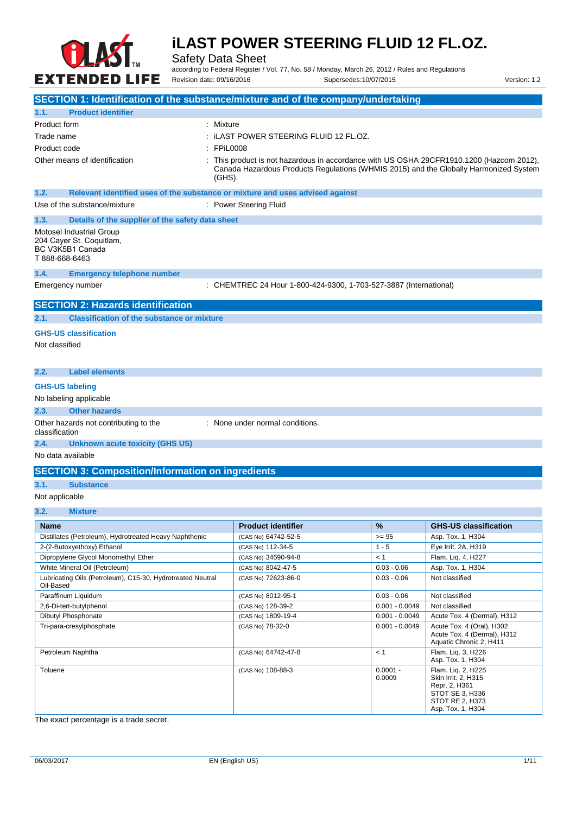

Safety Data Sheet

according to Federal Register / Vol. 77, No. 58 / Monday, March 26, 2012 / Rules and Regulations Revision date: 09/16/2016 Supersedes:10/07/2015 Version: 1.2

| SECTION 1: Identification of the substance/mixture and of the company/undertaking          |                                                                                                                                                                                           |                  |                                                                                     |
|--------------------------------------------------------------------------------------------|-------------------------------------------------------------------------------------------------------------------------------------------------------------------------------------------|------------------|-------------------------------------------------------------------------------------|
| <b>Product identifier</b><br>1.1.                                                          |                                                                                                                                                                                           |                  |                                                                                     |
| Product form<br>: Mixture                                                                  |                                                                                                                                                                                           |                  |                                                                                     |
| Trade name                                                                                 | : iLAST POWER STEERING FLUID 12 FL.OZ.                                                                                                                                                    |                  |                                                                                     |
| Product code<br>: FPiL0008                                                                 |                                                                                                                                                                                           |                  |                                                                                     |
| Other means of identification                                                              | This product is not hazardous in accordance with US OSHA 29CFR1910.1200 (Hazcom 2012),<br>Canada Hazardous Products Regulations (WHMIS 2015) and the Globally Harmonized System<br>(GHS). |                  |                                                                                     |
| 1.2.<br>Relevant identified uses of the substance or mixture and uses advised against      |                                                                                                                                                                                           |                  |                                                                                     |
| Use of the substance/mixture                                                               | : Power Steering Fluid                                                                                                                                                                    |                  |                                                                                     |
| 1.3.<br>Details of the supplier of the safety data sheet                                   |                                                                                                                                                                                           |                  |                                                                                     |
| Motosel Industrial Group<br>204 Cayer St. Coquitlam,<br>BC V3K5B1 Canada<br>T 888-668-6463 |                                                                                                                                                                                           |                  |                                                                                     |
| 1.4.<br><b>Emergency telephone number</b>                                                  |                                                                                                                                                                                           |                  |                                                                                     |
| Emergency number                                                                           | : CHEMTREC 24 Hour 1-800-424-9300, 1-703-527-3887 (International)                                                                                                                         |                  |                                                                                     |
| <b>SECTION 2: Hazards identification</b>                                                   |                                                                                                                                                                                           |                  |                                                                                     |
| <b>Classification of the substance or mixture</b><br>2.1.                                  |                                                                                                                                                                                           |                  |                                                                                     |
| <b>GHS-US classification</b><br>Not classified                                             |                                                                                                                                                                                           |                  |                                                                                     |
| <b>Label elements</b><br>2.2.                                                              |                                                                                                                                                                                           |                  |                                                                                     |
| <b>GHS-US labeling</b>                                                                     |                                                                                                                                                                                           |                  |                                                                                     |
| No labeling applicable                                                                     |                                                                                                                                                                                           |                  |                                                                                     |
| 2.3.<br><b>Other hazards</b>                                                               |                                                                                                                                                                                           |                  |                                                                                     |
| Other hazards not contributing to the<br>classification                                    | : None under normal conditions.                                                                                                                                                           |                  |                                                                                     |
| 2.4.<br><b>Unknown acute toxicity (GHS US)</b>                                             |                                                                                                                                                                                           |                  |                                                                                     |
| No data available                                                                          |                                                                                                                                                                                           |                  |                                                                                     |
| <b>SECTION 3: Composition/Information on ingredients</b>                                   |                                                                                                                                                                                           |                  |                                                                                     |
| 3.1.<br><b>Substance</b>                                                                   |                                                                                                                                                                                           |                  |                                                                                     |
| Not applicable                                                                             |                                                                                                                                                                                           |                  |                                                                                     |
| 3.2.<br><b>Mixture</b>                                                                     |                                                                                                                                                                                           |                  |                                                                                     |
| Name                                                                                       | <b>Product identifier</b>                                                                                                                                                                 | %                | <b>GHS-US classification</b>                                                        |
| Distillates (Petroleum), Hydrotreated Heavy Naphthenic                                     | (CAS No) 64742-52-5                                                                                                                                                                       | $>= 95$          | Asp. Tox. 1, H304                                                                   |
| 2-(2-Butoxyethoxy) Ethanol                                                                 | (CAS No) 112-34-5                                                                                                                                                                         | $1 - 5$          | Eye Irrit. 2A, H319                                                                 |
| Dipropylene Glycol Monomethyl Ether                                                        | (CAS No) 34590-94-8                                                                                                                                                                       | < 1              | Flam. Lig. 4, H227                                                                  |
| White Mineral Oil (Petroleum)                                                              | (CAS No) 8042-47-5                                                                                                                                                                        | $0.03 - 0.06$    | Asp. Tox. 1, H304                                                                   |
| Lubricating Oils (Petroleum), C15-30, Hydrotreated Neutral<br>Oil-Based                    | (CAS No) 72623-86-0                                                                                                                                                                       | $0.03 - 0.06$    | Not classified                                                                      |
| Paraffinum Liquidum                                                                        | (CAS No) 8012-95-1                                                                                                                                                                        | $0.03 - 0.06$    | Not classified                                                                      |
| 2,6-Di-tert-butylphenol                                                                    | (CAS No) 128-39-2                                                                                                                                                                         | $0.001 - 0.0049$ | Not classified                                                                      |
| Dibutyl Phosphonate                                                                        | (CAS No) 1809-19-4                                                                                                                                                                        | $0.001 - 0.0049$ | Acute Tox. 4 (Dermal), H312                                                         |
| Tri-para-cresylphosphate                                                                   | (CAS No) 78-32-0                                                                                                                                                                          | $0.001 - 0.0049$ | Acute Tox. 4 (Oral), H302<br>Acute Tox. 4 (Dermal), H312<br>Aquatic Chronic 2, H411 |
| Petroleum Naphtha                                                                          | (CAS No) 64742-47-8                                                                                                                                                                       | < 1              | Flam. Lig. 3, H226                                                                  |

The exact percentage is a trade secret.

Toluene (CAS No) 108-88-3 0.0001 -

Asp. Tox. 1, H304

Flam. Liq. 2, H225 Skin Irrit. 2, H315 Repr. 2, H361 STOT SE 3, H336 STOT RE 2, H373 Asp. Tox. 1, H304

0.0009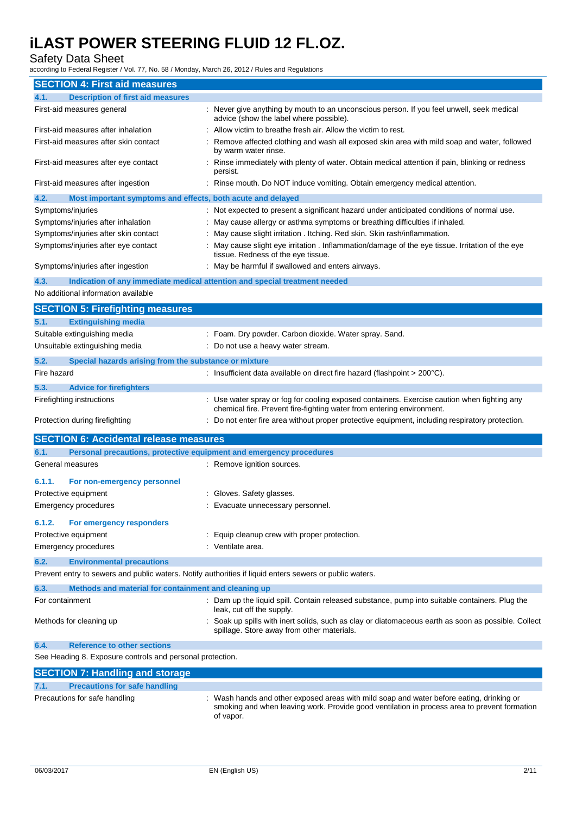#### Safety Data Sheet

according to Federal Register / Vol. 77, No. 58 / Monday, March 26, 2012 / Rules and Regulations

| <b>SECTION 4: First aid measures</b>                                        |                                                                                                                                                                                                     |
|-----------------------------------------------------------------------------|-----------------------------------------------------------------------------------------------------------------------------------------------------------------------------------------------------|
| <b>Description of first aid measures</b><br>4.1.                            |                                                                                                                                                                                                     |
| First-aid measures general                                                  | : Never give anything by mouth to an unconscious person. If you feel unwell, seek medical<br>advice (show the label where possible).                                                                |
| First-aid measures after inhalation                                         | Allow victim to breathe fresh air. Allow the victim to rest.                                                                                                                                        |
| First-aid measures after skin contact                                       | Remove affected clothing and wash all exposed skin area with mild soap and water, followed<br>by warm water rinse.                                                                                  |
| First-aid measures after eye contact                                        | Rinse immediately with plenty of water. Obtain medical attention if pain, blinking or redness<br>persist.                                                                                           |
| First-aid measures after ingestion                                          | Rinse mouth. Do NOT induce vomiting. Obtain emergency medical attention.                                                                                                                            |
| 4.2.<br>Most important symptoms and effects, both acute and delayed         |                                                                                                                                                                                                     |
| Symptoms/injuries                                                           | : Not expected to present a significant hazard under anticipated conditions of normal use.                                                                                                          |
| Symptoms/injuries after inhalation                                          | : May cause allergy or asthma symptoms or breathing difficulties if inhaled.                                                                                                                        |
| Symptoms/injuries after skin contact                                        | : May cause slight irritation . Itching. Red skin. Skin rash/inflammation.                                                                                                                          |
| Symptoms/injuries after eye contact                                         | : May cause slight eye irritation . Inflammation/damage of the eye tissue. Irritation of the eye<br>tissue. Redness of the eye tissue.                                                              |
| Symptoms/injuries after ingestion                                           | : May be harmful if swallowed and enters airways.                                                                                                                                                   |
| 4.3.                                                                        | Indication of any immediate medical attention and special treatment needed                                                                                                                          |
| No additional information available                                         |                                                                                                                                                                                                     |
| <b>SECTION 5: Firefighting measures</b>                                     |                                                                                                                                                                                                     |
| 5.1.<br><b>Extinguishing media</b>                                          |                                                                                                                                                                                                     |
| Suitable extinguishing media                                                | : Foam. Dry powder. Carbon dioxide. Water spray. Sand.                                                                                                                                              |
| Unsuitable extinguishing media                                              | Do not use a heavy water stream.                                                                                                                                                                    |
| 5.2.<br>Special hazards arising from the substance or mixture               |                                                                                                                                                                                                     |
| Fire hazard                                                                 | : Insufficient data available on direct fire hazard (flashpoint $> 200^{\circ}$ C).                                                                                                                 |
|                                                                             |                                                                                                                                                                                                     |
| 5.3.<br><b>Advice for firefighters</b>                                      |                                                                                                                                                                                                     |
| Firefighting instructions                                                   | : Use water spray or fog for cooling exposed containers. Exercise caution when fighting any<br>chemical fire. Prevent fire-fighting water from entering environment.                                |
| Protection during firefighting                                              | : Do not enter fire area without proper protective equipment, including respiratory protection.                                                                                                     |
| <b>SECTION 6: Accidental release measures</b>                               |                                                                                                                                                                                                     |
| 6.1.<br>Personal precautions, protective equipment and emergency procedures |                                                                                                                                                                                                     |
| General measures                                                            | : Remove ignition sources.                                                                                                                                                                          |
| 6.1.1.<br>For non-emergency personnel                                       |                                                                                                                                                                                                     |
| Protective equipment                                                        | Gloves. Safety glasses.                                                                                                                                                                             |
| <b>Emergency procedures</b>                                                 | : Evacuate unnecessary personnel.                                                                                                                                                                   |
|                                                                             |                                                                                                                                                                                                     |
| 6.1.2.<br>For emergency responders                                          |                                                                                                                                                                                                     |
| Protective equipment                                                        | : Equip cleanup crew with proper protection.                                                                                                                                                        |
| <b>Emergency procedures</b>                                                 | : Ventilate area.                                                                                                                                                                                   |
| 6.2.<br><b>Environmental precautions</b>                                    |                                                                                                                                                                                                     |
|                                                                             | Prevent entry to sewers and public waters. Notify authorities if liquid enters sewers or public waters.                                                                                             |
| 6.3.<br>Methods and material for containment and cleaning up                |                                                                                                                                                                                                     |
| For containment                                                             | : Dam up the liquid spill. Contain released substance, pump into suitable containers. Plug the<br>leak, cut off the supply.                                                                         |
| Methods for cleaning up                                                     | : Soak up spills with inert solids, such as clay or diatomaceous earth as soon as possible. Collect<br>spillage. Store away from other materials.                                                   |
| 6.4.<br><b>Reference to other sections</b>                                  |                                                                                                                                                                                                     |
| See Heading 8. Exposure controls and personal protection.                   |                                                                                                                                                                                                     |
| <b>SECTION 7: Handling and storage</b>                                      |                                                                                                                                                                                                     |
| <b>Precautions for safe handling</b><br>7.1.                                |                                                                                                                                                                                                     |
| Precautions for safe handling                                               | Wash hands and other exposed areas with mild soap and water before eating, drinking or<br>smoking and when leaving work. Provide good ventilation in process area to prevent formation<br>of vapor. |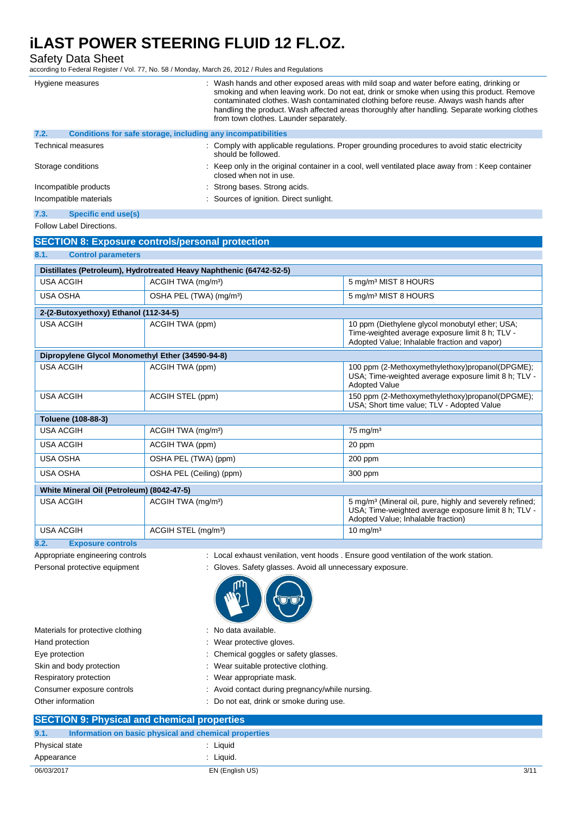Safety Data Sheet

according to Federal Register / Vol. 77, No. 58 / Monday, March 26, 2012 / Rules and Regulations

|                                                  | $\sim$ . The condition of $\sim$ , $\sim$ , $\sim$ , $\sim$ , $\sim$ , $\sim$ , $\sim$ , $\sim$ , $\sim$ , $\sim$ , $\sim$ , $\sim$ , $\sim$ , $\sim$ , $\sim$ , $\sim$ , $\sim$ , $\sim$ , $\sim$ , $\sim$ , $\sim$ , $\sim$ , $\sim$ , $\sim$ , $\sim$ , $\sim$ , $\sim$ , $\sim$ , |                                                                                                                                                                                                                                                                                                                                                                                                                            |  |
|--------------------------------------------------|---------------------------------------------------------------------------------------------------------------------------------------------------------------------------------------------------------------------------------------------------------------------------------------|----------------------------------------------------------------------------------------------------------------------------------------------------------------------------------------------------------------------------------------------------------------------------------------------------------------------------------------------------------------------------------------------------------------------------|--|
| Hygiene measures                                 |                                                                                                                                                                                                                                                                                       | : Wash hands and other exposed areas with mild soap and water before eating, drinking or<br>smoking and when leaving work. Do not eat, drink or smoke when using this product. Remove<br>contaminated clothes. Wash contaminated clothing before reuse. Always wash hands after<br>handling the product. Wash affected areas thoroughly after handling. Separate working clothes<br>from town clothes. Launder separately. |  |
| 7.2.                                             | Conditions for safe storage, including any incompatibilities                                                                                                                                                                                                                          |                                                                                                                                                                                                                                                                                                                                                                                                                            |  |
| <b>Technical measures</b>                        | should be followed.                                                                                                                                                                                                                                                                   | : Comply with applicable regulations. Proper grounding procedures to avoid static electricity                                                                                                                                                                                                                                                                                                                              |  |
| Storage conditions                               | closed when not in use.                                                                                                                                                                                                                                                               | : Keep only in the original container in a cool, well ventilated place away from : Keep container                                                                                                                                                                                                                                                                                                                          |  |
| Incompatible products                            | Strong bases. Strong acids.                                                                                                                                                                                                                                                           |                                                                                                                                                                                                                                                                                                                                                                                                                            |  |
| Incompatible materials                           | : Sources of ignition. Direct sunlight.                                                                                                                                                                                                                                               |                                                                                                                                                                                                                                                                                                                                                                                                                            |  |
| <b>Specific end use(s)</b><br>7.3.               |                                                                                                                                                                                                                                                                                       |                                                                                                                                                                                                                                                                                                                                                                                                                            |  |
| Follow Label Directions.                         |                                                                                                                                                                                                                                                                                       |                                                                                                                                                                                                                                                                                                                                                                                                                            |  |
|                                                  | <b>SECTION 8: Exposure controls/personal protection</b>                                                                                                                                                                                                                               |                                                                                                                                                                                                                                                                                                                                                                                                                            |  |
| <b>Control parameters</b><br>8.1.                |                                                                                                                                                                                                                                                                                       |                                                                                                                                                                                                                                                                                                                                                                                                                            |  |
|                                                  | Distillates (Petroleum), Hydrotreated Heavy Naphthenic (64742-52-5)                                                                                                                                                                                                                   |                                                                                                                                                                                                                                                                                                                                                                                                                            |  |
| <b>USA ACGIH</b>                                 | ACGIH TWA (mg/m <sup>3</sup> )                                                                                                                                                                                                                                                        | 5 mg/m <sup>3</sup> MIST 8 HOURS                                                                                                                                                                                                                                                                                                                                                                                           |  |
| <b>USA OSHA</b>                                  | OSHA PEL (TWA) (mg/m <sup>3</sup> )                                                                                                                                                                                                                                                   | 5 mg/m <sup>3</sup> MIST 8 HOURS                                                                                                                                                                                                                                                                                                                                                                                           |  |
| 2-(2-Butoxyethoxy) Ethanol (112-34-5)            |                                                                                                                                                                                                                                                                                       |                                                                                                                                                                                                                                                                                                                                                                                                                            |  |
| <b>USA ACGIH</b>                                 | ACGIH TWA (ppm)                                                                                                                                                                                                                                                                       | 10 ppm (Diethylene glycol monobutyl ether; USA;<br>Time-weighted average exposure limit 8 h; TLV -<br>Adopted Value; Inhalable fraction and vapor)                                                                                                                                                                                                                                                                         |  |
| Dipropylene Glycol Monomethyl Ether (34590-94-8) |                                                                                                                                                                                                                                                                                       |                                                                                                                                                                                                                                                                                                                                                                                                                            |  |
| <b>USA ACGIH</b>                                 | ACGIH TWA (ppm)                                                                                                                                                                                                                                                                       | 100 ppm (2-Methoxymethylethoxy)propanol(DPGME);<br>USA; Time-weighted average exposure limit 8 h; TLV -<br><b>Adopted Value</b>                                                                                                                                                                                                                                                                                            |  |
| <b>USA ACGIH</b>                                 | ACGIH STEL (ppm)                                                                                                                                                                                                                                                                      | 150 ppm (2-Methoxymethylethoxy)propanol(DPGME);                                                                                                                                                                                                                                                                                                                                                                            |  |
|                                                  |                                                                                                                                                                                                                                                                                       | USA; Short time value; TLV - Adopted Value                                                                                                                                                                                                                                                                                                                                                                                 |  |

| Toluene (108-88-3)                        |                                 |                                                                                                                                                                    |  |
|-------------------------------------------|---------------------------------|--------------------------------------------------------------------------------------------------------------------------------------------------------------------|--|
| <b>USA ACGIH</b>                          | ACGIH TWA (mg/m <sup>3</sup> )  | $75 \text{ mg/m}^3$                                                                                                                                                |  |
| <b>USA ACGIH</b>                          | ACGIH TWA (ppm)                 | 20 ppm                                                                                                                                                             |  |
| <b>USA OSHA</b>                           | OSHA PEL (TWA) (ppm)            | $200$ ppm                                                                                                                                                          |  |
| <b>USA OSHA</b>                           | OSHA PEL (Ceiling) (ppm)        | 300 ppm                                                                                                                                                            |  |
| White Mineral Oil (Petroleum) (8042-47-5) |                                 |                                                                                                                                                                    |  |
| <b>USA ACGIH</b>                          | ACGIH TWA (mg/m <sup>3</sup> )  | 5 mg/m <sup>3</sup> (Mineral oil, pure, highly and severely refined;<br>USA: Time-weighted average exposure limit 8 h; TLV -<br>Adopted Value; Inhalable fraction) |  |
| <b>USA ACGIH</b>                          | ACGIH STEL (mg/m <sup>3</sup> ) | $10 \text{ mg/m}^3$                                                                                                                                                |  |

**8.2. Exposure controls**

Appropriate engineering controls : Local exhaust venilation, vent hoods . Ensure good ventilation of the work station.

Personal protective equipment : Gloves. Safety glasses. Avoid all unnecessary exposure.



| Materials for protective clothing | : No data available.                            |
|-----------------------------------|-------------------------------------------------|
| Hand protection                   | : Wear protective gloves.                       |
| Eye protection                    | : Chemical goggles or safety glasses.           |
| Skin and body protection          | Wear suitable protective clothing.              |
| Respiratory protection            | : Wear appropriate mask.                        |
| Consumer exposure controls        | : Avoid contact during pregnancy/while nursing. |
| Other information                 | : Do not eat, drink or smoke during use.        |
|                                   |                                                 |

### 06/03/2017 EN (English US) 3/11 **SECTION 9: Physical and chemical properties 9.1. Information on basic physical and chemical properties** Physical state in the state in the state of the state in the state in the state in the state in the state in the state in the state in the state in the state in the state in the state in the state in the state in the state Appearance : Liquid.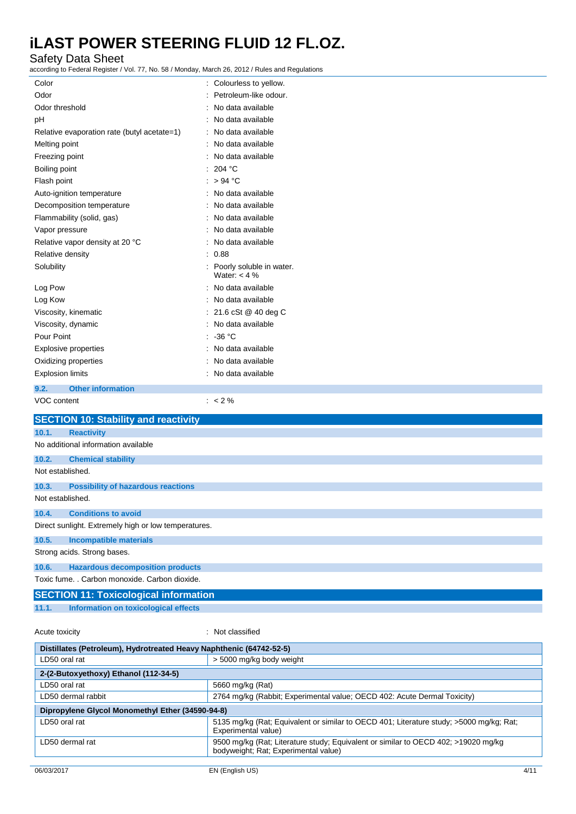#### Safety Data Sheet

according to Federal Register / Vol. 77, No. 58 / Monday, March 26, 2012 / Rules and Regulations

| according to Federal Register / Vol. 77, No. 58 / Monday, March 26, 2012 / Rules and Regulations |                                            |  |  |
|--------------------------------------------------------------------------------------------------|--------------------------------------------|--|--|
| Color                                                                                            | : Colourless to yellow.                    |  |  |
| Odor                                                                                             | Petroleum-like odour.                      |  |  |
| Odor threshold                                                                                   | No data available                          |  |  |
| рH                                                                                               | No data available                          |  |  |
| Relative evaporation rate (butyl acetate=1)                                                      | No data available                          |  |  |
| Melting point                                                                                    | No data available                          |  |  |
| Freezing point                                                                                   | No data available                          |  |  |
| Boiling point                                                                                    | 204 °C                                     |  |  |
| Flash point                                                                                      | > 94 °C                                    |  |  |
| Auto-ignition temperature                                                                        | No data available                          |  |  |
| Decomposition temperature                                                                        | No data available                          |  |  |
| Flammability (solid, gas)                                                                        | No data available                          |  |  |
| Vapor pressure                                                                                   | No data available                          |  |  |
| Relative vapor density at 20 °C                                                                  | No data available                          |  |  |
| Relative density                                                                                 | 0.88                                       |  |  |
| Solubility                                                                                       | Poorly soluble in water.<br>Water: $<$ 4 % |  |  |
| Log Pow                                                                                          | No data available                          |  |  |
| Log Kow                                                                                          | No data available                          |  |  |
| Viscosity, kinematic                                                                             | 21.6 cSt @ 40 deg C                        |  |  |
| Viscosity, dynamic                                                                               | No data available                          |  |  |
| Pour Point                                                                                       | $-36 °C$                                   |  |  |
| <b>Explosive properties</b>                                                                      | No data available                          |  |  |
| Oxidizing properties                                                                             | No data available                          |  |  |
| <b>Explosion limits</b>                                                                          | No data available                          |  |  |
| <b>Other information</b><br>9.2.                                                                 |                                            |  |  |
| VOC content                                                                                      | $: < 2 \%$                                 |  |  |
| <b>SECTION 10: Stability and reactivity</b>                                                      |                                            |  |  |
| 10.1.                                                                                            |                                            |  |  |
| <b>Reactivity</b>                                                                                |                                            |  |  |
| No additional information available                                                              |                                            |  |  |
| 10.2.<br><b>Chemical stability</b>                                                               |                                            |  |  |
| Not established.                                                                                 |                                            |  |  |
| 10.3.<br><b>Possibility of hazardous reactions</b>                                               |                                            |  |  |
| Not established.                                                                                 |                                            |  |  |
| 10.4.<br><b>Conditions to avoid</b>                                                              |                                            |  |  |
| Direct sunlight. Extremely high or low temperatures.                                             |                                            |  |  |
| 10.5.<br><b>Incompatible materials</b>                                                           |                                            |  |  |
| Strong acids. Strong bases.                                                                      |                                            |  |  |
| <b>Hazardous decomposition products</b><br>10.6.                                                 |                                            |  |  |
| Toxic fume. . Carbon monoxide. Carbon dioxide.                                                   |                                            |  |  |
| <b>SECTION 11: Toxicological information</b>                                                     |                                            |  |  |
|                                                                                                  |                                            |  |  |

**11.1. Information on toxicological effects**

Acute toxicity **in the case of the CALIC CONTEX Not classified** : Not classified

| Distillates (Petroleum), Hydrotreated Heavy Naphthenic (64742-52-5) |                                                                                                                            |  |  |
|---------------------------------------------------------------------|----------------------------------------------------------------------------------------------------------------------------|--|--|
| LD50 oral rat                                                       | > 5000 mg/kg body weight                                                                                                   |  |  |
| 2-(2-Butoxyethoxy) Ethanol (112-34-5)                               |                                                                                                                            |  |  |
| LD50 oral rat                                                       | 5660 mg/kg (Rat)                                                                                                           |  |  |
| LD50 dermal rabbit                                                  | 2764 mg/kg (Rabbit; Experimental value; OECD 402: Acute Dermal Toxicity)                                                   |  |  |
| Dipropylene Glycol Monomethyl Ether (34590-94-8)                    |                                                                                                                            |  |  |
| LD50 oral rat                                                       | 5135 mg/kg (Rat: Equivalent or similar to OECD 401; Literature study; >5000 mg/kg; Rat;<br>Experimental value)             |  |  |
| LD50 dermal rat                                                     | 9500 mg/kg (Rat; Literature study; Equivalent or similar to OECD 402; >19020 mg/kg<br>bodyweight; Rat; Experimental value) |  |  |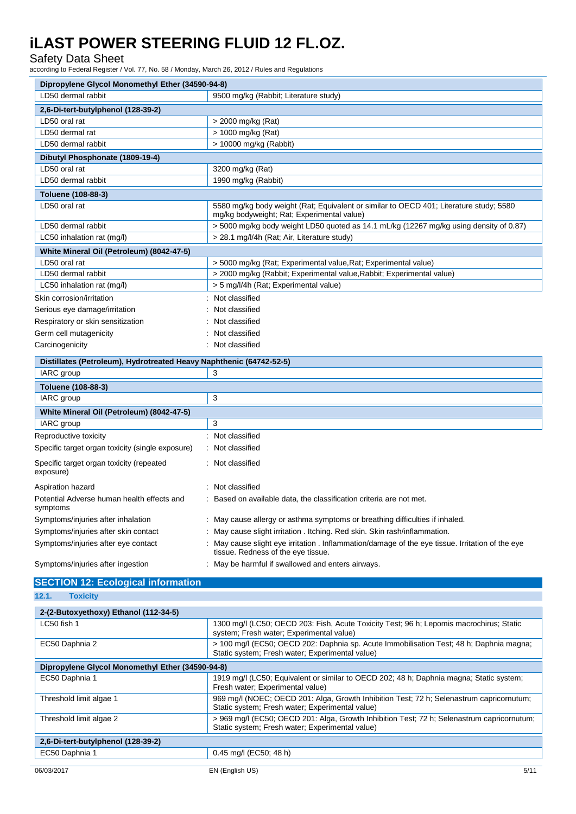#### Safety Data Sheet

according to Federal Register / Vol. 77, No. 58 / Monday, March 26, 2012 / Rules and Regulations

| Dipropylene Glycol Monomethyl Ether (34590-94-8)                    |                                                                                                                                      |  |  |
|---------------------------------------------------------------------|--------------------------------------------------------------------------------------------------------------------------------------|--|--|
| LD50 dermal rabbit                                                  | 9500 mg/kg (Rabbit; Literature study)                                                                                                |  |  |
| 2,6-Di-tert-butylphenol (128-39-2)                                  |                                                                                                                                      |  |  |
| LD50 oral rat                                                       | > 2000 mg/kg (Rat)                                                                                                                   |  |  |
| LD50 dermal rat                                                     | > 1000 mg/kg (Rat)                                                                                                                   |  |  |
| LD50 dermal rabbit                                                  | $> 10000$ mg/kg (Rabbit)                                                                                                             |  |  |
| Dibutyl Phosphonate (1809-19-4)                                     |                                                                                                                                      |  |  |
| LD50 oral rat                                                       | 3200 mg/kg (Rat)                                                                                                                     |  |  |
| LD50 dermal rabbit                                                  | 1990 mg/kg (Rabbit)                                                                                                                  |  |  |
| Toluene (108-88-3)                                                  |                                                                                                                                      |  |  |
| LD50 oral rat                                                       | 5580 mg/kg body weight (Rat; Equivalent or similar to OECD 401; Literature study; 5580<br>mg/kg bodyweight; Rat; Experimental value) |  |  |
| LD50 dermal rabbit                                                  | > 5000 mg/kg body weight LD50 quoted as 14.1 mL/kg (12267 mg/kg using density of 0.87)                                               |  |  |
| LC50 inhalation rat (mg/l)                                          | > 28.1 mg/l/4h (Rat; Air, Literature study)                                                                                          |  |  |
| White Mineral Oil (Petroleum) (8042-47-5)                           |                                                                                                                                      |  |  |
| LD50 oral rat                                                       | > 5000 mg/kg (Rat; Experimental value, Rat; Experimental value)                                                                      |  |  |
| LD50 dermal rabbit                                                  | > 2000 mg/kg (Rabbit; Experimental value, Rabbit; Experimental value)                                                                |  |  |
| LC50 inhalation rat (mg/l)                                          | > 5 mg/l/4h (Rat; Experimental value)                                                                                                |  |  |
| Skin corrosion/irritation                                           | : Not classified                                                                                                                     |  |  |
| Serious eye damage/irritation                                       | Not classified                                                                                                                       |  |  |
| Respiratory or skin sensitization                                   | Not classified                                                                                                                       |  |  |
| Germ cell mutagenicity                                              | Not classified                                                                                                                       |  |  |
| Carcinogenicity                                                     | : Not classified                                                                                                                     |  |  |
| Distillates (Petroleum), Hydrotreated Heavy Naphthenic (64742-52-5) |                                                                                                                                      |  |  |
| IARC group                                                          | 3                                                                                                                                    |  |  |
| Toluene (108-88-3)                                                  |                                                                                                                                      |  |  |
| IARC group                                                          | 3                                                                                                                                    |  |  |
| White Mineral Oil (Petroleum) (8042-47-5)                           |                                                                                                                                      |  |  |
| IARC group                                                          | 3                                                                                                                                    |  |  |
| Reproductive toxicity                                               | : Not classified                                                                                                                     |  |  |
| Specific target organ toxicity (single exposure)                    | Not classified                                                                                                                       |  |  |
| Specific target organ toxicity (repeated<br>exposure)               | : Not classified                                                                                                                     |  |  |
| Aspiration hazard                                                   | Not classified                                                                                                                       |  |  |
| Potential Adverse human health effects and<br>symptoms              | Based on available data, the classification criteria are not met.                                                                    |  |  |
| Symptoms/injuries after inhalation                                  | : May cause allergy or asthma symptoms or breathing difficulties if inhaled.                                                         |  |  |
| Symptoms/injuries after skin contact                                | May cause slight irritation . Itching. Red skin. Skin rash/inflammation.                                                             |  |  |
| Symptoms/injuries after eye contact                                 | May cause slight eye irritation . Inflammation/damage of the eye tissue. Irritation of the eye<br>tissue. Redness of the eye tissue. |  |  |

Symptoms/injuries after ingestion : May be harmful if swallowed and enters airways.

### **SECTION 12: Ecological information**

### **12.1. Toxicity**

| 2-(2-Butoxyethoxy) Ethanol (112-34-5)            |                                                                                                                                               |
|--------------------------------------------------|-----------------------------------------------------------------------------------------------------------------------------------------------|
| LC50 fish 1                                      | 1300 mg/l (LC50; OECD 203: Fish, Acute Toxicity Test; 96 h; Lepomis macrochirus; Static<br>system; Fresh water; Experimental value)           |
| EC50 Daphnia 2                                   | > 100 mg/l (EC50; OECD 202: Daphnia sp. Acute Immobilisation Test; 48 h; Daphnia magna;<br>Static system; Fresh water; Experimental value)    |
| Dipropylene Glycol Monomethyl Ether (34590-94-8) |                                                                                                                                               |
| EC50 Daphnia 1                                   | 1919 mg/l (LC50; Equivalent or similar to OECD 202; 48 h; Daphnia magna; Static system;<br>Fresh water; Experimental value)                   |
| Threshold limit algae 1                          | 969 mg/l (NOEC; OECD 201: Alga, Growth Inhibition Test; 72 h; Selenastrum capricornutum;<br>Static system; Fresh water; Experimental value)   |
| Threshold limit algae 2                          | > 969 mg/l (EC50; OECD 201: Alga, Growth Inhibition Test; 72 h; Selenastrum capricornutum;<br>Static system; Fresh water; Experimental value) |
| 2,6-Di-tert-butylphenol (128-39-2)               |                                                                                                                                               |
| EC50 Daphnia 1                                   | 0.45 mg/l (EC50; 48 h)                                                                                                                        |
| 06/03/2017                                       | 5/11<br>EN (English US)                                                                                                                       |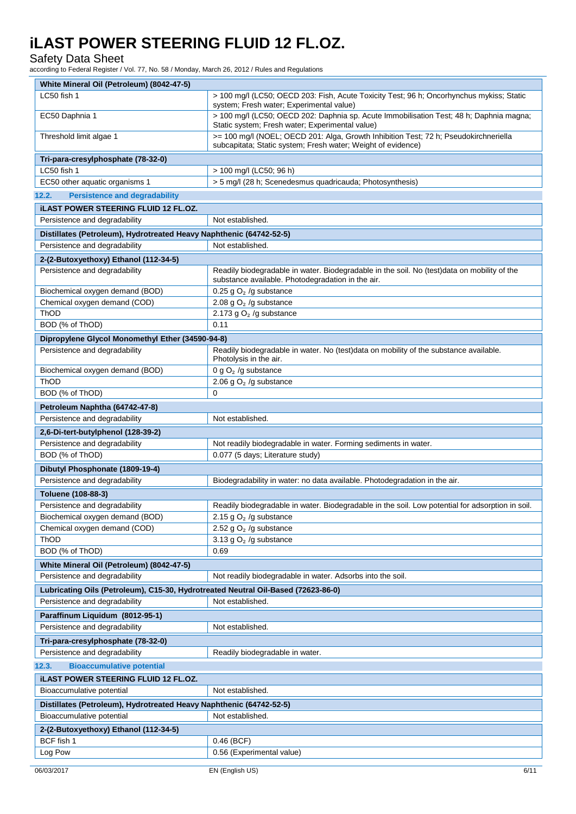#### Safety Data Sheet

according to Federal Register / Vol. 77, No. 58 / Monday, March 26, 2012 / Rules and Regulations

| White Mineral Oil (Petroleum) (8042-47-5)                                         |                                                                                                                                                      |
|-----------------------------------------------------------------------------------|------------------------------------------------------------------------------------------------------------------------------------------------------|
| LC50 fish 1                                                                       | > 100 mg/l (LC50; OECD 203: Fish, Acute Toxicity Test; 96 h; Oncorhynchus mykiss; Static<br>system; Fresh water; Experimental value)                 |
| EC50 Daphnia 1                                                                    | > 100 mg/l (LC50; OECD 202: Daphnia sp. Acute Immobilisation Test; 48 h; Daphnia magna;<br>Static system; Fresh water; Experimental value)           |
| Threshold limit algae 1                                                           | >= 100 mg/l (NOEL; OECD 201: Alga, Growth Inhibition Test; 72 h; Pseudokirchneriella<br>subcapitata; Static system; Fresh water; Weight of evidence) |
| Tri-para-cresylphosphate (78-32-0)                                                |                                                                                                                                                      |
| LC50 fish 1                                                                       | > 100 mg/l (LC50; 96 h)                                                                                                                              |
| EC50 other aquatic organisms 1                                                    | > 5 mg/l (28 h; Scenedesmus quadricauda; Photosynthesis)                                                                                             |
| 12.2.<br><b>Persistence and degradability</b>                                     |                                                                                                                                                      |
| <b>ILAST POWER STEERING FLUID 12 FL.OZ.</b>                                       |                                                                                                                                                      |
| Persistence and degradability                                                     | Not established.                                                                                                                                     |
| Distillates (Petroleum), Hydrotreated Heavy Naphthenic (64742-52-5)               |                                                                                                                                                      |
| Persistence and degradability                                                     | Not established.                                                                                                                                     |
| 2-(2-Butoxyethoxy) Ethanol (112-34-5)                                             |                                                                                                                                                      |
| Persistence and degradability                                                     | Readily biodegradable in water. Biodegradable in the soil. No (test)data on mobility of the                                                          |
| Biochemical oxygen demand (BOD)                                                   | substance available. Photodegradation in the air.<br>0.25 g $O2$ /g substance                                                                        |
| Chemical oxygen demand (COD)                                                      | 2.08 g $O2$ /g substance                                                                                                                             |
| ThOD                                                                              | 2.173 g $O2$ /g substance                                                                                                                            |
| BOD (% of ThOD)                                                                   | 0.11                                                                                                                                                 |
| Dipropylene Glycol Monomethyl Ether (34590-94-8)                                  |                                                                                                                                                      |
| Persistence and degradability                                                     | Readily biodegradable in water. No (test)data on mobility of the substance available.<br>Photolysis in the air.                                      |
| Biochemical oxygen demand (BOD)                                                   | 0 g $O2$ /g substance                                                                                                                                |
| ThOD                                                                              | 2.06 g $O2$ /g substance                                                                                                                             |
| BOD (% of ThOD)                                                                   | 0                                                                                                                                                    |
| Petroleum Naphtha (64742-47-8)                                                    |                                                                                                                                                      |
| Persistence and degradability                                                     | Not established.                                                                                                                                     |
| 2,6-Di-tert-butylphenol (128-39-2)                                                |                                                                                                                                                      |
| Persistence and degradability                                                     | Not readily biodegradable in water. Forming sediments in water.                                                                                      |
| BOD (% of ThOD)                                                                   | 0.077 (5 days; Literature study)                                                                                                                     |
| Dibutyl Phosphonate (1809-19-4)                                                   |                                                                                                                                                      |
| Persistence and degradability                                                     | Biodegradability in water: no data available. Photodegradation in the air.                                                                           |
| Toluene (108-88-3)                                                                |                                                                                                                                                      |
| Persistence and degradability                                                     | Readily biodegradable in water. Biodegradable in the soil. Low potential for adsorption in soil.                                                     |
| Biochemical oxygen demand (BOD)                                                   | 2.15 g $O2$ /g substance                                                                                                                             |
| Chemical oxygen demand (COD)                                                      | 2.52 g $O2$ /g substance                                                                                                                             |
| ThOD                                                                              | 3.13 g $O2$ /g substance                                                                                                                             |
| BOD (% of ThOD)                                                                   | 0.69                                                                                                                                                 |
| White Mineral Oil (Petroleum) (8042-47-5)                                         |                                                                                                                                                      |
| Persistence and degradability                                                     | Not readily biodegradable in water. Adsorbs into the soil.                                                                                           |
| Lubricating Oils (Petroleum), C15-30, Hydrotreated Neutral Oil-Based (72623-86-0) |                                                                                                                                                      |
| Persistence and degradability                                                     | Not established.                                                                                                                                     |
| Paraffinum Liquidum (8012-95-1)                                                   |                                                                                                                                                      |
| Persistence and degradability                                                     | Not established.                                                                                                                                     |
| Tri-para-cresylphosphate (78-32-0)                                                |                                                                                                                                                      |
| Persistence and degradability                                                     | Readily biodegradable in water.                                                                                                                      |
| <b>Bioaccumulative potential</b><br>12.3.                                         |                                                                                                                                                      |
| <b>ILAST POWER STEERING FLUID 12 FL.OZ.</b>                                       |                                                                                                                                                      |
| Bioaccumulative potential                                                         | Not established.                                                                                                                                     |
| Distillates (Petroleum), Hydrotreated Heavy Naphthenic (64742-52-5)               |                                                                                                                                                      |
| Bioaccumulative potential                                                         | Not established.                                                                                                                                     |
| 2-(2-Butoxyethoxy) Ethanol (112-34-5)                                             |                                                                                                                                                      |
| BCF fish 1                                                                        | $0.46$ (BCF)                                                                                                                                         |
| Log Pow                                                                           | 0.56 (Experimental value)                                                                                                                            |
|                                                                                   |                                                                                                                                                      |
| 06/03/2017                                                                        | EN (English US)<br>6/11                                                                                                                              |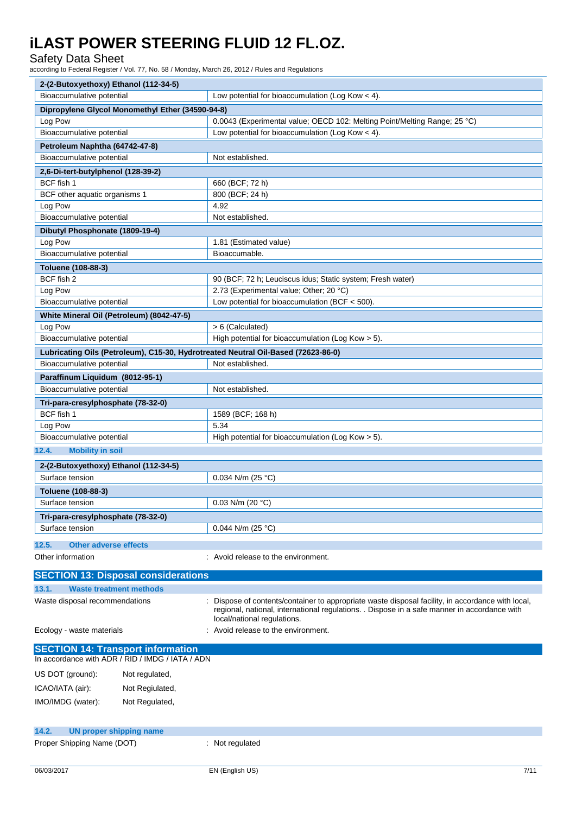### Safety Data Sheet

according to Federal Register / Vol. 77, No. 58 / Monday, March 26, 2012 / Rules and Regulations

| 2-(2-Butoxyethoxy) Ethanol (112-34-5)                                             |                                                                                                                                                                                                                                |
|-----------------------------------------------------------------------------------|--------------------------------------------------------------------------------------------------------------------------------------------------------------------------------------------------------------------------------|
| Bioaccumulative potential                                                         | Low potential for bioaccumulation (Log Kow $<$ 4).                                                                                                                                                                             |
| Dipropylene Glycol Monomethyl Ether (34590-94-8)                                  |                                                                                                                                                                                                                                |
| Log Pow                                                                           | 0.0043 (Experimental value; OECD 102: Melting Point/Melting Range; 25 °C)                                                                                                                                                      |
| Bioaccumulative potential                                                         | Low potential for bioaccumulation (Log Kow $<$ 4).                                                                                                                                                                             |
| Petroleum Naphtha (64742-47-8)                                                    |                                                                                                                                                                                                                                |
| Bioaccumulative potential                                                         | Not established.                                                                                                                                                                                                               |
| 2,6-Di-tert-butylphenol (128-39-2)                                                |                                                                                                                                                                                                                                |
| BCF fish 1                                                                        | 660 (BCF; 72 h)                                                                                                                                                                                                                |
| BCF other aquatic organisms 1                                                     | 800 (BCF; 24 h)                                                                                                                                                                                                                |
| Log Pow                                                                           | 4.92                                                                                                                                                                                                                           |
| Bioaccumulative potential                                                         | Not established.                                                                                                                                                                                                               |
| Dibutyl Phosphonate (1809-19-4)                                                   |                                                                                                                                                                                                                                |
| Log Pow                                                                           | 1.81 (Estimated value)<br>Bioaccumable.                                                                                                                                                                                        |
| Bioaccumulative potential                                                         |                                                                                                                                                                                                                                |
| Toluene (108-88-3)<br>BCF fish 2                                                  |                                                                                                                                                                                                                                |
| Log Pow                                                                           | 90 (BCF; 72 h; Leuciscus idus; Static system; Fresh water)<br>2.73 (Experimental value; Other; 20 °C)                                                                                                                          |
| Bioaccumulative potential                                                         | Low potential for bioaccumulation (BCF < 500).                                                                                                                                                                                 |
|                                                                                   |                                                                                                                                                                                                                                |
| White Mineral Oil (Petroleum) (8042-47-5)<br>Log Pow                              | > 6 (Calculated)                                                                                                                                                                                                               |
| Bioaccumulative potential                                                         | High potential for bioaccumulation (Log Kow > 5).                                                                                                                                                                              |
| Lubricating Oils (Petroleum), C15-30, Hydrotreated Neutral Oil-Based (72623-86-0) |                                                                                                                                                                                                                                |
| Bioaccumulative potential                                                         | Not established.                                                                                                                                                                                                               |
| Paraffinum Liquidum (8012-95-1)                                                   |                                                                                                                                                                                                                                |
| Bioaccumulative potential                                                         | Not established.                                                                                                                                                                                                               |
| Tri-para-cresylphosphate (78-32-0)                                                |                                                                                                                                                                                                                                |
| BCF fish 1                                                                        | 1589 (BCF; 168 h)                                                                                                                                                                                                              |
| Log Pow                                                                           | 5.34                                                                                                                                                                                                                           |
| Bioaccumulative potential                                                         | High potential for bioaccumulation (Log Kow > 5).                                                                                                                                                                              |
| 12.4.<br><b>Mobility in soil</b>                                                  |                                                                                                                                                                                                                                |
| 2-(2-Butoxyethoxy) Ethanol (112-34-5)                                             |                                                                                                                                                                                                                                |
| Surface tension                                                                   | 0.034 N/m (25 °C)                                                                                                                                                                                                              |
| Toluene (108-88-3)                                                                |                                                                                                                                                                                                                                |
| Surface tension                                                                   | 0.03 N/m (20 $°C$ )                                                                                                                                                                                                            |
| Tri-para-cresylphosphate (78-32-0)                                                |                                                                                                                                                                                                                                |
| Surface tension                                                                   | 0.044 N/m (25 °C)                                                                                                                                                                                                              |
|                                                                                   |                                                                                                                                                                                                                                |
| <b>Other adverse effects</b><br>12.5.                                             |                                                                                                                                                                                                                                |
| Other information                                                                 | : Avoid release to the environment.                                                                                                                                                                                            |
| <b>SECTION 13: Disposal considerations</b>                                        |                                                                                                                                                                                                                                |
| 13.1.<br><b>Waste treatment methods</b>                                           |                                                                                                                                                                                                                                |
| Waste disposal recommendations                                                    | Dispose of contents/container to appropriate waste disposal facility, in accordance with local,<br>regional, national, international regulations. . Dispose in a safe manner in accordance with<br>local/national regulations. |
| Ecology - waste materials                                                         | Avoid release to the environment.                                                                                                                                                                                              |
| <b>SECTION 14: Transport information</b>                                          |                                                                                                                                                                                                                                |
| In accordance with ADR / RID / IMDG / IATA / ADN                                  |                                                                                                                                                                                                                                |
| US DOT (ground):<br>Not regulated,                                                |                                                                                                                                                                                                                                |
| ICAO/IATA (air):<br>Not Regiulated,                                               |                                                                                                                                                                                                                                |
|                                                                                   |                                                                                                                                                                                                                                |
| IMO/IMDG (water):<br>Not Regulated,                                               |                                                                                                                                                                                                                                |
|                                                                                   |                                                                                                                                                                                                                                |
| 14.2.<br><b>UN proper shipping name</b>                                           |                                                                                                                                                                                                                                |

| Proper Shipping Name (DOT) |  |  |
|----------------------------|--|--|
|----------------------------|--|--|

: Not regulated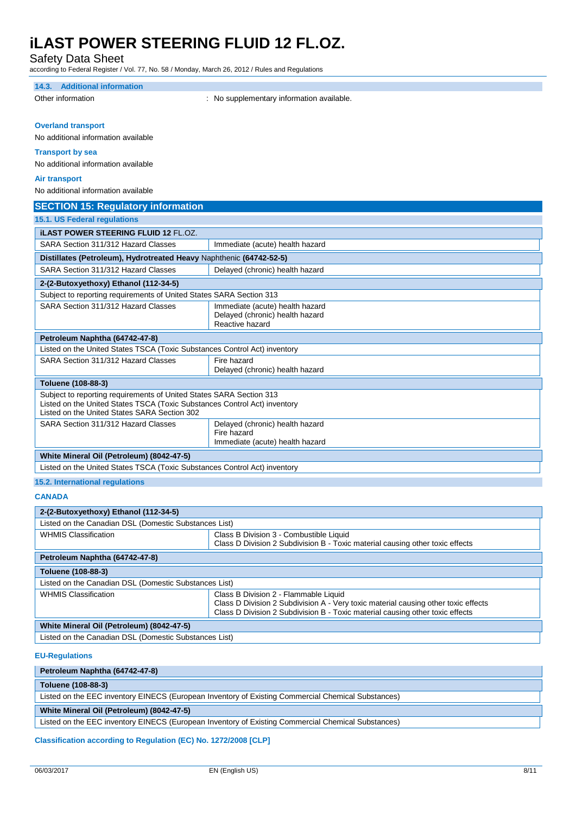Safety Data Sheet

according to Federal Register / Vol. 77, No. 58 / Monday, March 26, 2012 / Rules and Regulations

| 14.3. Additional information                                                                               |                                                                                    |
|------------------------------------------------------------------------------------------------------------|------------------------------------------------------------------------------------|
| Other information                                                                                          | : No supplementary information available.                                          |
|                                                                                                            |                                                                                    |
| <b>Overland transport</b>                                                                                  |                                                                                    |
| No additional information available                                                                        |                                                                                    |
|                                                                                                            |                                                                                    |
| <b>Transport by sea</b>                                                                                    |                                                                                    |
| No additional information available                                                                        |                                                                                    |
| <b>Air transport</b>                                                                                       |                                                                                    |
| No additional information available                                                                        |                                                                                    |
| <b>SECTION 15: Regulatory information</b>                                                                  |                                                                                    |
| 15.1. US Federal regulations                                                                               |                                                                                    |
| <b>ILAST POWER STEERING FLUID 12 FL.OZ.</b>                                                                |                                                                                    |
| SARA Section 311/312 Hazard Classes                                                                        | Immediate (acute) health hazard                                                    |
|                                                                                                            |                                                                                    |
| Distillates (Petroleum), Hydrotreated Heavy Naphthenic (64742-52-5)<br>SARA Section 311/312 Hazard Classes | Delayed (chronic) health hazard                                                    |
|                                                                                                            |                                                                                    |
| 2-(2-Butoxyethoxy) Ethanol (112-34-5)                                                                      |                                                                                    |
| Subject to reporting requirements of United States SARA Section 313                                        |                                                                                    |
| SARA Section 311/312 Hazard Classes                                                                        | Immediate (acute) health hazard<br>Delayed (chronic) health hazard                 |
|                                                                                                            | Reactive hazard                                                                    |
| Petroleum Naphtha (64742-47-8)                                                                             |                                                                                    |
| Listed on the United States TSCA (Toxic Substances Control Act) inventory                                  |                                                                                    |
| SARA Section 311/312 Hazard Classes                                                                        | Fire hazard                                                                        |
|                                                                                                            | Delayed (chronic) health hazard                                                    |
| Toluene (108-88-3)                                                                                         |                                                                                    |
| Subject to reporting requirements of United States SARA Section 313                                        |                                                                                    |
| Listed on the United States TSCA (Toxic Substances Control Act) inventory                                  |                                                                                    |
| Listed on the United States SARA Section 302                                                               |                                                                                    |
| SARA Section 311/312 Hazard Classes                                                                        | Delayed (chronic) health hazard                                                    |
|                                                                                                            | Fire hazard<br>Immediate (acute) health hazard                                     |
|                                                                                                            |                                                                                    |
| White Mineral Oil (Petroleum) (8042-47-5)                                                                  |                                                                                    |
| Listed on the United States TSCA (Toxic Substances Control Act) inventory                                  |                                                                                    |
| 15.2. International regulations                                                                            |                                                                                    |
| <b>CANADA</b>                                                                                              |                                                                                    |
| 2-(2-Butoxyethoxy) Ethanol (112-34-5)                                                                      |                                                                                    |
| Listed on the Canadian DSL (Domestic Substances List)                                                      |                                                                                    |
| <b>WHMIS Classification</b>                                                                                | Class B Division 3 - Combustible Liquid                                            |
|                                                                                                            | Class D Division 2 Subdivision B - Toxic material causing other toxic effects      |
| Petroleum Naphtha (64742-47-8)                                                                             |                                                                                    |
| Toluene (108-88-3)                                                                                         |                                                                                    |
| Listed on the Canadian DSL (Domestic Substances List)                                                      |                                                                                    |
| <b>WHMIS Classification</b>                                                                                | Class B Division 2 - Flammable Liquid                                              |
|                                                                                                            | Class D Division 2 Subdivision A - Very toxic material causing other toxic effects |
|                                                                                                            | Class D Division 2 Subdivision B - Toxic material causing other toxic effects      |
| White Mineral Oil (Petroleum) (8042-47-5)                                                                  |                                                                                    |
| Listed on the Canadian DSL (Domestic Substances List)                                                      |                                                                                    |

**EU-Regulations**

| Petroleum Naphtha (64742-47-8)                                                                     |  |  |
|----------------------------------------------------------------------------------------------------|--|--|
| Toluene (108-88-3)                                                                                 |  |  |
| Listed on the EEC inventory EINECS (European Inventory of Existing Commercial Chemical Substances) |  |  |
| White Mineral Oil (Petroleum) (8042-47-5)                                                          |  |  |
| Listed on the EEC inventory EINECS (European Inventory of Existing Commercial Chemical Substances) |  |  |

**Classification according to Regulation (EC) No. 1272/2008 [CLP]**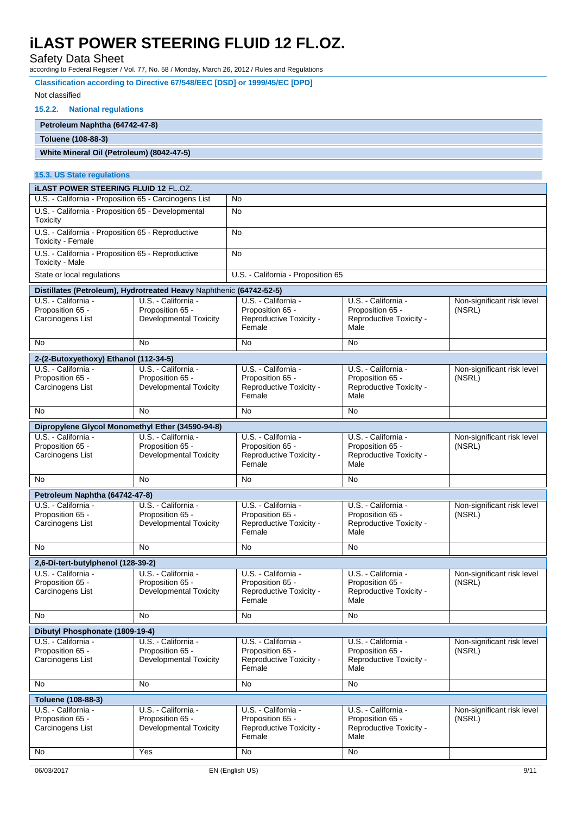Safety Data Sheet

| according to Federal Register / Vol. 77, No. 58 / Monday, March 26, 2012 / Rules and Regulations |                                                   |                                             |                                             |                            |  |
|--------------------------------------------------------------------------------------------------|---------------------------------------------------|---------------------------------------------|---------------------------------------------|----------------------------|--|
| Classification according to Directive 67/548/EEC [DSD] or 1999/45/EC [DPD]                       |                                                   |                                             |                                             |                            |  |
| Not classified                                                                                   |                                                   |                                             |                                             |                            |  |
| 15.2.2.<br><b>National regulations</b>                                                           |                                                   |                                             |                                             |                            |  |
| Petroleum Naphtha (64742-47-8)                                                                   |                                                   |                                             |                                             |                            |  |
| Toluene (108-88-3)                                                                               |                                                   |                                             |                                             |                            |  |
| White Mineral Oil (Petroleum) (8042-47-5)                                                        |                                                   |                                             |                                             |                            |  |
| 15.3. US State regulations                                                                       |                                                   |                                             |                                             |                            |  |
| <b>iLAST POWER STEERING FLUID 12 FL.OZ.</b>                                                      |                                                   |                                             |                                             |                            |  |
| U.S. - California - Proposition 65 - Carcinogens List                                            |                                                   | No                                          |                                             |                            |  |
| U.S. - California - Proposition 65 - Developmental<br>Toxicity                                   |                                                   | No                                          |                                             |                            |  |
| U.S. - California - Proposition 65 - Reproductive<br>Toxicity - Female                           |                                                   | No                                          |                                             |                            |  |
| U.S. - California - Proposition 65 - Reproductive<br><b>Toxicity - Male</b>                      |                                                   | No                                          |                                             |                            |  |
| State or local regulations                                                                       |                                                   | U.S. - California - Proposition 65          |                                             |                            |  |
| Distillates (Petroleum), Hydrotreated Heavy Naphthenic (64742-52-5)                              |                                                   |                                             |                                             |                            |  |
| U.S. California -                                                                                | U.S. - California -                               | U.S. - California -                         | U.S. California                             | Non-significant risk level |  |
| Proposition 65 -<br>Carcinogens List                                                             | Proposition 65 -<br><b>Developmental Toxicity</b> | Proposition 65 -<br>Reproductive Toxicity - | Proposition 65 -<br>Reproductive Toxicity - | (NSRL)                     |  |
|                                                                                                  |                                                   | Female                                      | Male                                        |                            |  |
| No.                                                                                              | No                                                | No                                          | No                                          |                            |  |
| 2-(2-Butoxyethoxy) Ethanol (112-34-5)                                                            |                                                   |                                             |                                             |                            |  |
| U.S. California -                                                                                | U.S. - California -<br>Proposition 65 -           | U.S. - California -                         | U.S. - California -<br>Proposition 65 -     | Non-significant risk level |  |
| Proposition 65 -<br>Carcinogens List                                                             | <b>Developmental Toxicity</b>                     | Proposition 65 -<br>Reproductive Toxicity - | Reproductive Toxicity -                     | (NSRL)                     |  |
|                                                                                                  |                                                   | Female                                      | Male                                        |                            |  |
| No                                                                                               | <b>No</b>                                         | No                                          | No                                          |                            |  |
| Dipropylene Glycol Monomethyl Ether (34590-94-8)                                                 |                                                   |                                             |                                             |                            |  |
| U.S. California                                                                                  | U.S. California                                   | U.S. - California -                         | U.S. - California -                         | Non-significant risk level |  |
| Proposition 65 -<br>Carcinogens List                                                             | Proposition 65 -<br><b>Developmental Toxicity</b> | Proposition 65 -<br>Reproductive Toxicity - | Proposition 65 -<br>Reproductive Toxicity - | (NSRL)                     |  |
|                                                                                                  |                                                   | Female                                      | Male                                        |                            |  |
| No                                                                                               | No                                                | No                                          | No                                          |                            |  |
| Petroleum Naphtha (64742-47-8)                                                                   |                                                   |                                             |                                             |                            |  |
| U.S. California -                                                                                | U.S. - California -                               | U.S. - California -                         | U.S. - California -                         | Non-significant risk level |  |
| Proposition 65 -                                                                                 | Proposition 65 -                                  | Proposition 65 -                            | Proposition 65 -                            | (NSRL)                     |  |
| Carcinogens List                                                                                 | <b>Developmental Toxicity</b>                     | Reproductive Toxicity -<br>Female           | Reproductive Toxicity -<br>Male             |                            |  |
| No                                                                                               | No                                                | No                                          | No                                          |                            |  |
| 2,6-Di-tert-butylphenol (128-39-2)                                                               |                                                   |                                             |                                             |                            |  |
| U.S. - California -                                                                              | U.S. - California -                               | U.S. - California -                         | U.S. California                             | Non-significant risk level |  |
| Proposition 65 -                                                                                 | Proposition 65 -                                  | Proposition 65 -                            | Proposition 65 -                            | (NSRL)                     |  |
| Carcinogens List                                                                                 | <b>Developmental Toxicity</b>                     | Reproductive Toxicity -<br>Female           | Reproductive Toxicity -<br>Male             |                            |  |
| No                                                                                               | No                                                | No                                          | No                                          |                            |  |
| Dibutyl Phosphonate (1809-19-4)                                                                  |                                                   |                                             |                                             |                            |  |
| U.S. California -                                                                                | U.S. - California -                               | U.S. - California -                         | U.S. - California -                         | Non-significant risk level |  |
| Proposition 65 -                                                                                 | Proposition 65 -                                  | Proposition 65 -                            | Proposition 65 -                            | (NSRL)                     |  |

Reproductive Toxicity -

U.S. - California - Proposition 65 - Reproductive Toxicity - Reproductive Toxicity -

U.S. - California - Proposition 65 - Reproductive Toxicity -

Male

Male

Female

Female

Carcinogens List

**Toluene (108-88-3)** U.S. - California - Proposition 65 - Carcinogens List

Developmental Toxicity

U.S. - California - Proposition 65 - Developmental Toxicity

No No No No

No No Nes No No No No No

Non-significant risk level

(NSRL)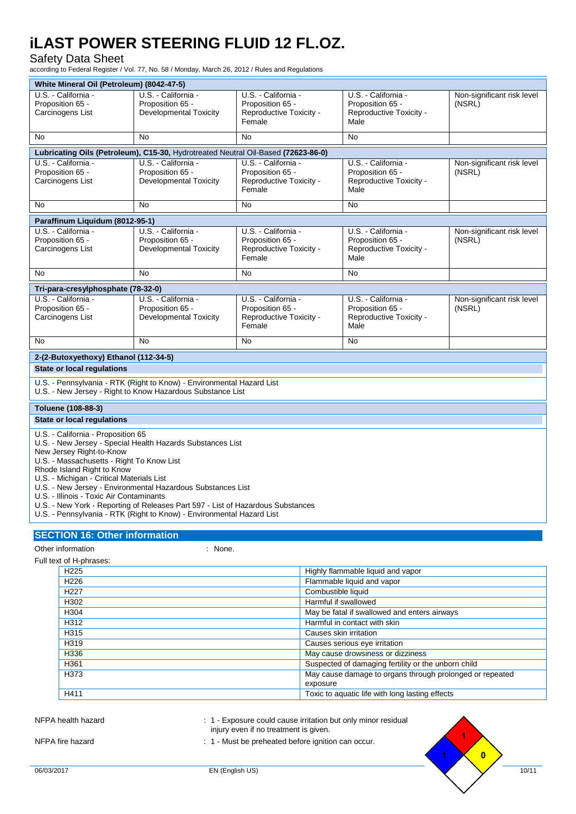#### Safety Data Sheet

according to Federal Register / Vol. 77, No. 58 / Monday, March 26, 2012 / Rules and Regulations

| White Mineral Oil (Petroleum) (8042-47-5)                                                                                                                                                                                                                                                                                                                                                                                                                                                                                   |                                                                                   |                                                                                                                                                                      |           |                                      |  |
|-----------------------------------------------------------------------------------------------------------------------------------------------------------------------------------------------------------------------------------------------------------------------------------------------------------------------------------------------------------------------------------------------------------------------------------------------------------------------------------------------------------------------------|-----------------------------------------------------------------------------------|----------------------------------------------------------------------------------------------------------------------------------------------------------------------|-----------|--------------------------------------|--|
| U.S. - California -<br>Proposition 65 -<br>Carcinogens List                                                                                                                                                                                                                                                                                                                                                                                                                                                                 | U.S. - California -<br>Proposition 65 -<br>Developmental Toxicity                 | U.S. - California -<br>U.S. - California -<br>Proposition 65 -<br>Proposition 65 -<br>Reproductive Toxicity -<br>Reproductive Toxicity -<br>Female<br>Male           |           | Non-significant risk level<br>(NSRL) |  |
| No                                                                                                                                                                                                                                                                                                                                                                                                                                                                                                                          | <b>No</b>                                                                         | No                                                                                                                                                                   | No        |                                      |  |
|                                                                                                                                                                                                                                                                                                                                                                                                                                                                                                                             | Lubricating Oils (Petroleum), C15-30, Hydrotreated Neutral Oil-Based (72623-86-0) |                                                                                                                                                                      |           |                                      |  |
| U.S. California -<br>Proposition 65 -<br>Carcinogens List                                                                                                                                                                                                                                                                                                                                                                                                                                                                   | U.S. - California -<br>Proposition 65 -<br><b>Developmental Toxicity</b>          | U.S. - California -<br>U.S. - California -<br>Proposition 65 -<br>Proposition 65 -<br>(NSRL)<br>Reproductive Toxicity -<br>Reproductive Toxicity -<br>Female<br>Male |           | Non-significant risk level           |  |
| No                                                                                                                                                                                                                                                                                                                                                                                                                                                                                                                          | No                                                                                | No                                                                                                                                                                   | No        |                                      |  |
| Paraffinum Liquidum (8012-95-1)                                                                                                                                                                                                                                                                                                                                                                                                                                                                                             |                                                                                   |                                                                                                                                                                      |           |                                      |  |
| U.S. - California -<br>Proposition 65 -<br>Carcinogens List                                                                                                                                                                                                                                                                                                                                                                                                                                                                 | U.S. California -<br>Proposition 65 -<br><b>Developmental Toxicity</b>            | U.S. - California -<br>U.S. - California -<br>Proposition 65 -<br>Proposition 65 -<br>(NSRL)<br>Reproductive Toxicity -<br>Reproductive Toxicity -<br>Female<br>Male |           | Non-significant risk level           |  |
| No                                                                                                                                                                                                                                                                                                                                                                                                                                                                                                                          | <b>No</b>                                                                         | <b>No</b>                                                                                                                                                            | <b>No</b> |                                      |  |
| Tri-para-cresylphosphate (78-32-0)                                                                                                                                                                                                                                                                                                                                                                                                                                                                                          |                                                                                   |                                                                                                                                                                      |           |                                      |  |
| U.S. California -<br>Proposition 65 -<br>Carcinogens List                                                                                                                                                                                                                                                                                                                                                                                                                                                                   | U.S. - California -<br>Proposition 65 -<br><b>Developmental Toxicity</b>          | U.S. - California -<br>U.S. - California -<br>Proposition 65 -<br>Proposition 65 -<br>Reproductive Toxicity -<br>Reproductive Toxicity -<br>Female<br>Male           |           | Non-significant risk level<br>(NSRL) |  |
| No                                                                                                                                                                                                                                                                                                                                                                                                                                                                                                                          | <b>No</b>                                                                         | No                                                                                                                                                                   | No        |                                      |  |
| 2-(2-Butoxyethoxy) Ethanol (112-34-5)                                                                                                                                                                                                                                                                                                                                                                                                                                                                                       |                                                                                   |                                                                                                                                                                      |           |                                      |  |
| <b>State or local requlations</b>                                                                                                                                                                                                                                                                                                                                                                                                                                                                                           |                                                                                   |                                                                                                                                                                      |           |                                      |  |
| U.S. - Pennsylvania - RTK (Right to Know) - Environmental Hazard List<br>U.S. - New Jersey - Right to Know Hazardous Substance List                                                                                                                                                                                                                                                                                                                                                                                         |                                                                                   |                                                                                                                                                                      |           |                                      |  |
| Toluene (108-88-3)                                                                                                                                                                                                                                                                                                                                                                                                                                                                                                          |                                                                                   |                                                                                                                                                                      |           |                                      |  |
| <b>State or local requlations</b>                                                                                                                                                                                                                                                                                                                                                                                                                                                                                           |                                                                                   |                                                                                                                                                                      |           |                                      |  |
| U.S. - California - Proposition 65<br>U.S. - New Jersey - Special Health Hazards Substances List<br>New Jersey Right-to-Know<br>U.S. - Massachusetts - Right To Know List<br>Rhode Island Right to Know<br>U.S. - Michigan - Critical Materials List<br>U.S. - New Jersey - Environmental Hazardous Substances List<br>U.S. - Illinois - Toxic Air Contaminants<br>U.S. - New York - Reporting of Releases Part 597 - List of Hazardous Substances<br>U.S. - Pennsylvania - RTK (Right to Know) - Environmental Hazard List |                                                                                   |                                                                                                                                                                      |           |                                      |  |
| <b>SECTION 16: Other information</b>                                                                                                                                                                                                                                                                                                                                                                                                                                                                                        |                                                                                   |                                                                                                                                                                      |           |                                      |  |

Other information in the contract of the contract of the contract of the contract of the contract of the contract of the contract of the contract of the contract of the contract of the contract of the contract of the contr

Full text of H-phrases:

| H <sub>225</sub> | Highly flammable liquid and vapor                        |
|------------------|----------------------------------------------------------|
| H <sub>226</sub> | Flammable liquid and vapor                               |
| H <sub>227</sub> | Combustible liquid                                       |
| H302             | Harmful if swallowed                                     |
| H304             | May be fatal if swallowed and enters airways             |
| H312             | Harmful in contact with skin                             |
| H315             | Causes skin irritation                                   |
| H319             | Causes serious eye irritation                            |
| H336             | May cause drowsiness or dizziness                        |
| H361             | Suspected of damaging fertility or the unborn child      |
| H373             | May cause damage to organs through prolonged or repeated |
|                  | exposure                                                 |
| H411             | Toxic to aquatic life with long lasting effects          |
|                  |                                                          |

NFPA health hazard **in the state of the CAU cause investment of the S**: 1 - Exposure could cause irritation but only minor residual injury even if no treatment is given.

NFPA fire hazard **in the state of the state of the 1 - Must** be preheated before ignition can occur.